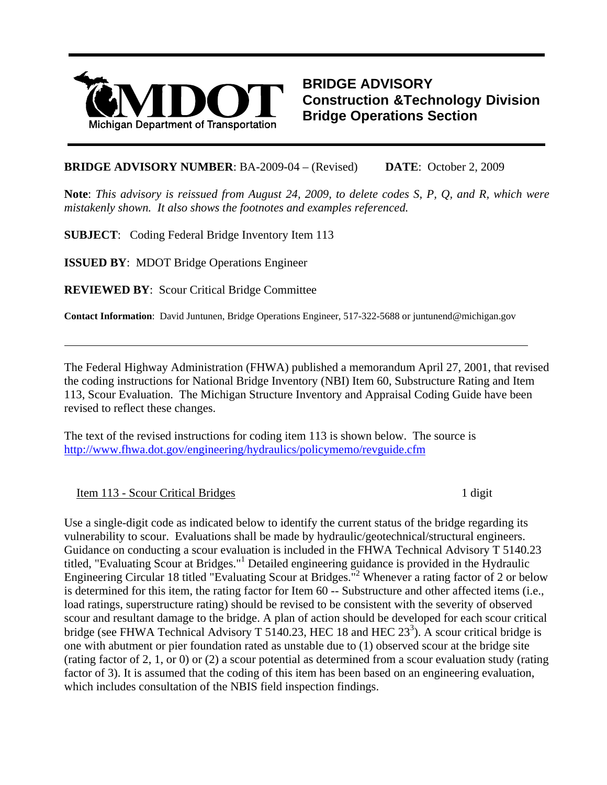

**BRIDGE ADVISORY Construction &Technology Division Bridge Operations Section**

## **BRIDGE ADVISORY NUMBER:** BA-2009-04 – (Revised) DATE: October 2, 2009

**Note**: *This advisory is reissued from August 24, 2009, to delete codes S, P, Q, and R, which were mistakenly shown. It also shows the footnotes and examples referenced.*

**SUBJECT**: Coding Federal Bridge Inventory Item 113

**ISSUED BY**: MDOT Bridge Operations Engineer

**REVIEWED BY**: Scour Critical Bridge Committee

**Contact Information**: David Juntunen, Bridge Operations Engineer, 517-322-5688 or juntunend@michigan.gov

The Federal Highway Administration (FHWA) published a memorandum April 27, 2001, that revised the coding instructions for National Bridge Inventory (NBI) Item 60, Substructure Rating and Item 113, Scour Evaluation. The Michigan Structure Inventory and Appraisal Coding Guide have been revised to reflect these changes.

The text of the revised instructions for coding item 113 is shown below. The source is <http://www.fhwa.dot.gov/engineering/hydraulics/policymemo/revguide.cfm>

Item 113 - Scour Critical Bridges 1 digit

 $\overline{a}$ 

Use a single-digit code as indicated below to identify the current status of the bridge regarding its vulnerability to scour. Evaluations shall be made by hydraulic/geotechnical/structural engineers. Guidance on conducting a scour evaluation is included in the FHWA Technical Advisory T 5140.23 titled, "Evaluating Scour at Bridges."<sup>1</sup> Detailed engineering guidance is provided in the Hydraulic Engineering Circular 18 titled "Evaluating Scour at Bridges."2 Whenever a rating factor of 2 or below is determined for this item, the rating factor for Item 60 -- Substructure and other affected items (i.e., load ratings, superstructure rating) should be revised to be consistent with the severity of observed scour and resultant damage to the bridge. A plan of action should be developed for each scour critical bridge (see FHWA Technical Advisory T 5140.23, HEC 18 and HEC  $23<sup>3</sup>$ ). A scour critical bridge is one with abutment or pier foundation rated as unstable due to (1) observed scour at the bridge site (rating factor of 2, 1, or 0) or (2) a scour potential as determined from a scour evaluation study (rating factor of 3). It is assumed that the coding of this item has been based on an engineering evaluation, which includes consultation of the NBIS field inspection findings.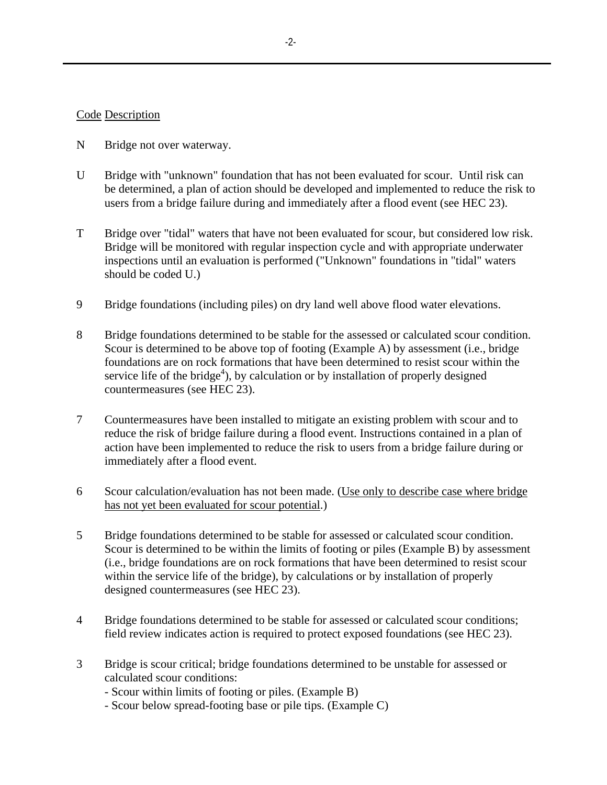## Code Description

- N Bridge not over waterway.
- U Bridge with "unknown" foundation that has not been evaluated for scour. Until risk can be determined, a plan of action should be developed and implemented to reduce the risk to users from a bridge failure during and immediately after a flood event (see HEC 23).
- T Bridge over "tidal" waters that have not been evaluated for scour, but considered low risk. Bridge will be monitored with regular inspection cycle and with appropriate underwater inspections until an evaluation is performed ("Unknown" foundations in "tidal" waters should be coded U.)
- 9 Bridge foundations (including piles) on dry land well above flood water elevations.
- 8 Bridge foundations determined to be stable for the assessed or calculated scour condition. Scour is determined to be above top of footing (Example A) by assessment (i.e., bridge foundations are on rock formations that have been determined to resist scour within the service life of the bridge<sup>4</sup>), by calculation or by installation of properly designed countermeasures (see HEC 23).
- 7 Countermeasures have been installed to mitigate an existing problem with scour and to reduce the risk of bridge failure during a flood event. Instructions contained in a plan of action have been implemented to reduce the risk to users from a bridge failure during or immediately after a flood event.
- 6 Scour calculation/evaluation has not been made. (Use only to describe case where bridge has not yet been evaluated for scour potential.)
- 5 Bridge foundations determined to be stable for assessed or calculated scour condition. Scour is determined to be within the limits of footing or piles (Example B) by assessment (i.e., bridge foundations are on rock formations that have been determined to resist scour within the service life of the bridge), by calculations or by installation of properly designed countermeasures (see HEC 23).
- 4 Bridge foundations determined to be stable for assessed or calculated scour conditions; field review indicates action is required to protect exposed foundations (see HEC 23).
- 3 Bridge is scour critical; bridge foundations determined to be unstable for assessed or calculated scour conditions:
	- Scour within limits of footing or piles. (Example B)
	- Scour below spread-footing base or pile tips. (Example C)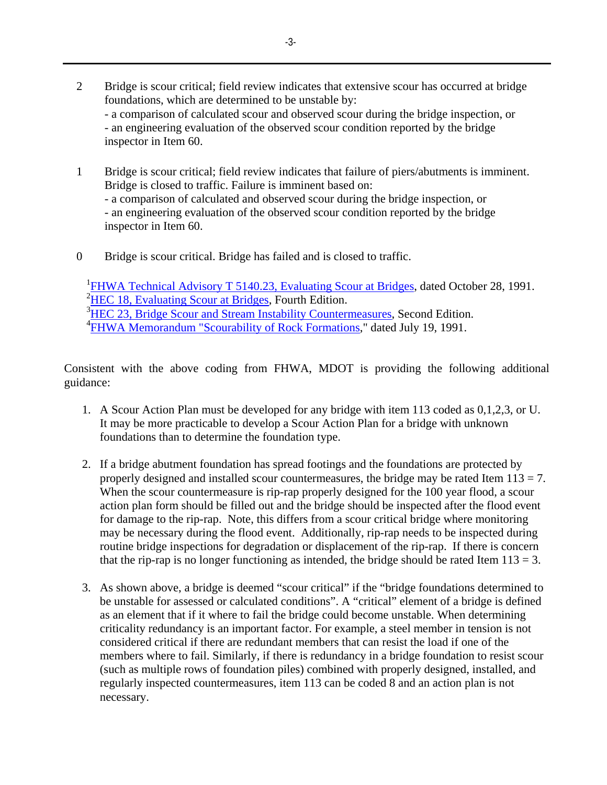- 2 Bridge is scour critical; field review indicates that extensive scour has occurred at bridge foundations, which are determined to be unstable by: - a comparison of calculated scour and observed scour during the bridge inspection, or - an engineering evaluation of the observed scour condition reported by the bridge inspector in Item 60.
- 1 Bridge is scour critical; field review indicates that failure of piers/abutments is imminent. Bridge is closed to traffic. Failure is imminent based on: - a comparison of calculated and observed scour during the bridge inspection, or - an engineering evaluation of the observed scour condition reported by the bridge inspector in Item 60.
- 0 Bridge is scour critical. Bridge has failed and is closed to traffic.

<sup>1</sup>[FHWA Technical Advisory T 5140.23, Evaluating Scour at Bridges,](http://www.fhwa.dot.gov/legsregs/directives/techadvs/t514023.htm) dated October 28, 1991. <sup>2</sup>[HEC 18, Evaluating Scour at Bridges](http://www.fhwa.dot.gov/engineering/hydraulics/library_arc.cfm?pub_number=17), Fourth Edition. <sup>3</sup>[HEC 23, Bridge Scour and Stream Instability Countermeasures](http://www.fhwa.dot.gov/engineering/hydraulics/library_arc.cfm?pub_number=23), Second Edition. <sup>4</sup> [FHWA Memorandum "Scourability of Rock Formations](http://www.fhwa.dot.gov/engineering/hydraulics/policymemo/rscour.cfm)," dated July 19, 1991.

Consistent with the above coding from FHWA, MDOT is providing the following additional guidance:

- 1. A Scour Action Plan must be developed for any bridge with item 113 coded as 0,1,2,3, or U. It may be more practicable to develop a Scour Action Plan for a bridge with unknown foundations than to determine the foundation type.
- 2. If a bridge abutment foundation has spread footings and the foundations are protected by properly designed and installed scour countermeasures, the bridge may be rated Item  $113 = 7$ . When the scour countermeasure is rip-rap properly designed for the 100 year flood, a scour action plan form should be filled out and the bridge should be inspected after the flood event for damage to the rip-rap. Note, this differs from a scour critical bridge where monitoring may be necessary during the flood event. Additionally, rip-rap needs to be inspected during routine bridge inspections for degradation or displacement of the rip-rap. If there is concern that the rip-rap is no longer functioning as intended, the bridge should be rated Item  $113 = 3$ .
- 3. As shown above, a bridge is deemed "scour critical" if the "bridge foundations determined to be unstable for assessed or calculated conditions". A "critical" element of a bridge is defined as an element that if it where to fail the bridge could become unstable. When determining criticality redundancy is an important factor. For example, a steel member in tension is not considered critical if there are redundant members that can resist the load if one of the members where to fail. Similarly, if there is redundancy in a bridge foundation to resist scour (such as multiple rows of foundation piles) combined with properly designed, installed, and regularly inspected countermeasures, item 113 can be coded 8 and an action plan is not necessary.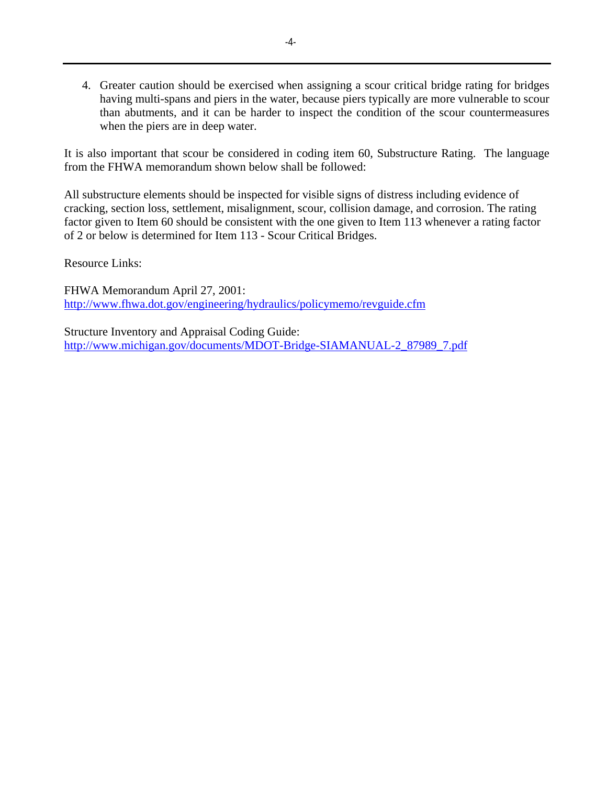4. Greater caution should be exercised when assigning a scour critical bridge rating for bridges having multi-spans and piers in the water, because piers typically are more vulnerable to scour than abutments, and it can be harder to inspect the condition of the scour countermeasures when the piers are in deep water.

It is also important that scour be considered in coding item 60, Substructure Rating. The language from the FHWA memorandum shown below shall be followed:

All substructure elements should be inspected for visible signs of distress including evidence of cracking, section loss, settlement, misalignment, scour, collision damage, and corrosion. The rating factor given to Item 60 should be consistent with the one given to Item 113 whenever a rating factor of 2 or below is determined for Item 113 - Scour Critical Bridges.

Resource Links:

FHWA Memorandum April 27, 2001: <http://www.fhwa.dot.gov/engineering/hydraulics/policymemo/revguide.cfm>

Structure Inventory and Appraisal Coding Guide: [http://www.michigan.gov/documents/MDOT-Bridge-SIAMANUAL-2\\_87989\\_7.pdf](http://www.michigan.gov/documents/MDOT-Bridge-SIAMANUAL-2_87989_7.pdf)